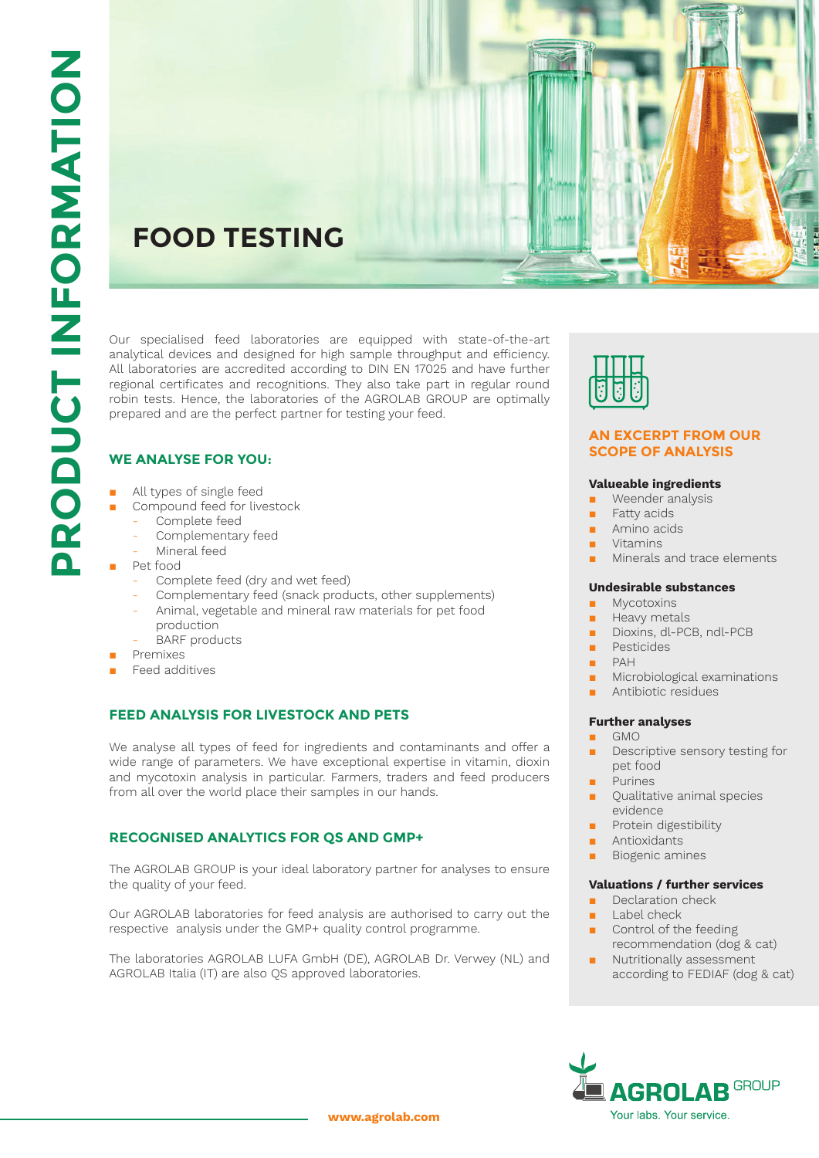# **FOOD TESTING**

Our specialised feed laboratories are equipped with state-of-the-art analytical devices and designed for high sample throughput and efficiency. All laboratories are accredited according to DIN EN 17025 and have further regional certificates and recognitions. They also take part in regular round robin tests. Hence, the laboratories of the AGROLAB GROUP are optimally prepared and are the perfect partner for testing your feed.

## **WE ANALYSE FOR YOU:**

- All types of single feed
- Compound feed for livestock
- Complete feed
	- Complementary feed
	- Mineral feed
- Pet food
	- Complete feed (dry and wet feed)
	- Complementary feed (snack products, other supplements) - Animal, vegetable and mineral raw materials for pet food
	- production
	- BARF products
- Premixes
- Feed additives

## **FEED ANALYSIS FOR LIVESTOCK AND PETS**

We analyse all types of feed for ingredients and contaminants and offer a wide range of parameters. We have exceptional expertise in vitamin, dioxin and mycotoxin analysis in particular. Farmers, traders and feed producers from all over the world place their samples in our hands.

## **RECOGNISED ANALYTICS FOR QS AND GMP+**

The AGROLAB GROUP is your ideal laboratory partner for analyses to ensure the quality of your feed.

Our AGROLAB laboratories for feed analysis are authorised to carry out the respective analysis under the GMP+ quality control programme.

The laboratories AGROLAB LUFA GmbH (DE), AGROLAB Dr. Verwey (NL) and AGROLAB Italia (IT) are also QS approved laboratories.



#### **AN EXCERPT FROM OUR SCOPE OF ANALYSIS**

#### **Valueable ingredients**

- Weender analysis
- Fatty acids
- Amino acids
- **Vitamins**
- Minerals and trace elements

#### **Undesirable substances**

- **Mycotoxins**
- Heavy metals
- Dioxins, dl-PCB, ndl-PCB
- **Pesticides**
- PAH
- Microbiological examinations
- Antibiotic residues

#### **Further analyses**

- GMO
- Descriptive sensory testing for pet food
- **Purines**
- Oualitative animal species evidence
- Protein digestibility
- Antioxidants
- Biogenic amines

#### **Valuations / further services**

- Declaration check
- Label check
- Control of the feeding
- recommendation (dog & cat) Nutritionally assessment according to FEDIAF (dog & cat)